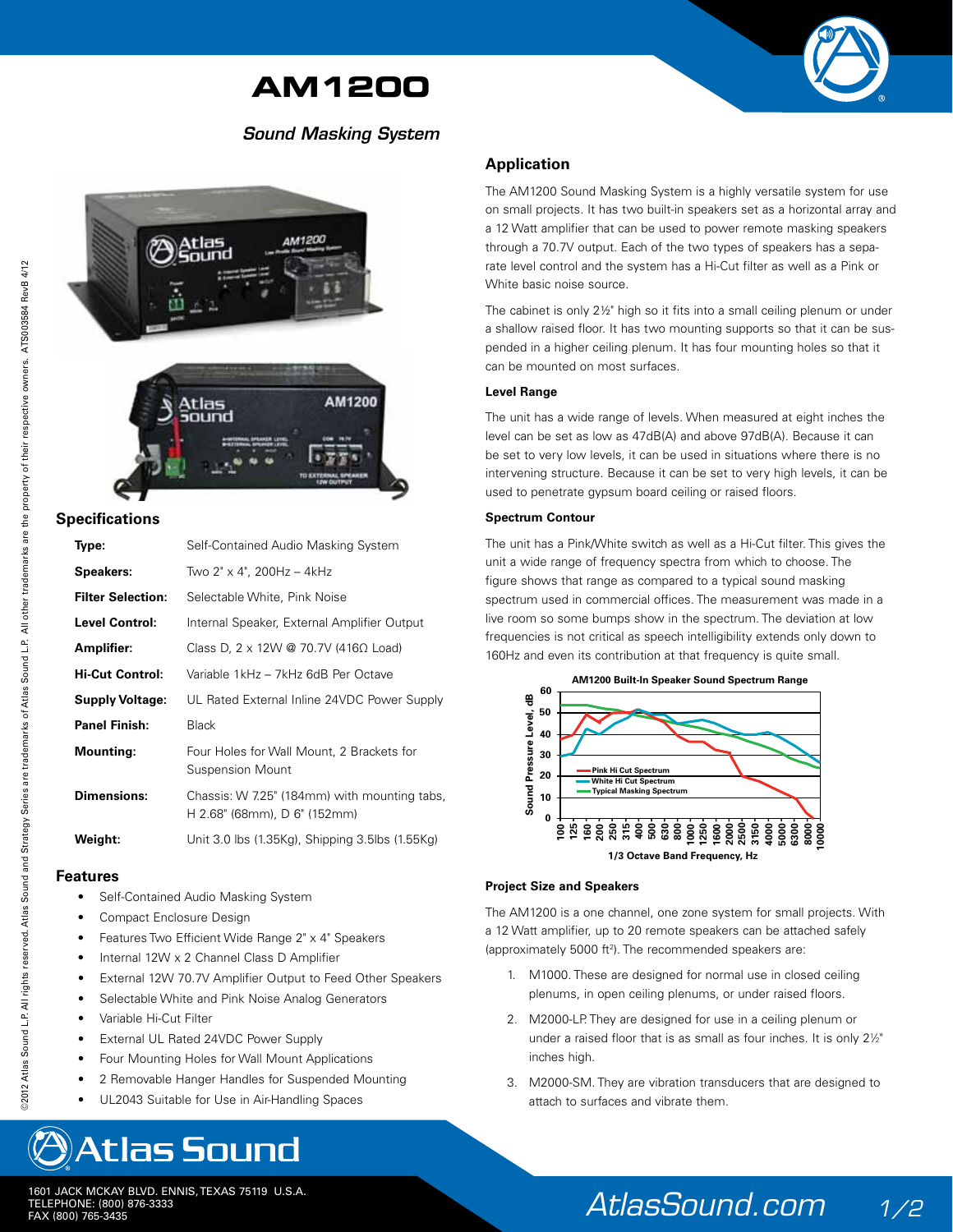## **AM1200**

## *Sound Masking System*



#### **Specifications**

| ATS003584 RevB 4/12                                                                                                                          |                                                                              |
|----------------------------------------------------------------------------------------------------------------------------------------------|------------------------------------------------------------------------------|
| served. Atlas Sound and Strategy Series are trademarks of Atlas Sound L.P. All other trademarks are the property of their respective owners. | AM1200                                                                       |
| Specifications                                                                                                                               |                                                                              |
| Type:                                                                                                                                        | Self-Contained Audio Masking System                                          |
| <b>Speakers:</b>                                                                                                                             | Two 2" x 4", 200Hz - 4kHz                                                    |
| <b>Filter Selection:</b>                                                                                                                     | Selectable White, Pink Noise                                                 |
| <b>Level Control:</b>                                                                                                                        | Internal Speaker, External Amplifier Output                                  |
| Amplifier:                                                                                                                                   | Class D, 2 x 12W @ 70.7V (416 $\Omega$ Load)                                 |
| <b>Hi-Cut Control:</b>                                                                                                                       | Variable 1kHz - 7kHz 6dB Per Octave                                          |
| <b>Supply Voltage:</b>                                                                                                                       | UL Rated External Inline 24VDC Power Supply                                  |
| <b>Panel Finish:</b>                                                                                                                         | <b>Black</b>                                                                 |
| <b>Mounting:</b>                                                                                                                             | Four Holes for Wall Mount, 2 Brackets for<br><b>Suspension Mount</b>         |
| <b>Dimensions:</b>                                                                                                                           | Chassis: W 7.25" (184mm) with mounting tabs,<br>H 2.68" (68mm), D 6" (152mm) |
| Weight:                                                                                                                                      | Unit 3.0 lbs (1.35Kg), Shipping 3.5lbs (1.55Kg)                              |
| Features                                                                                                                                     |                                                                              |
| Self-Contained Audio Masking System                                                                                                          |                                                                              |
| Compact Enclosure Design                                                                                                                     |                                                                              |
| Features Two Efficient Wide Range 2" x 4" Speakers                                                                                           |                                                                              |
| Internal 12W x 2 Channel Class D Amplifier<br>External 12W 70.7V Amplifier Output to Feed Other Speakers                                     |                                                                              |
| Selectable White and Pink Noise Analog Generators                                                                                            |                                                                              |
| Variable Hi-Cut Filter                                                                                                                       |                                                                              |
| External UL Rated 24VDC Power Supply                                                                                                         |                                                                              |
| Four Mounting Holes for Wall Mount Applications                                                                                              |                                                                              |
| 2 Removable Hanger Handles for Suspended Mounting                                                                                            |                                                                              |
| ©2012 Atlas Sound L.P. All rights re                                                                                                         | UL2043 Suitable for Use in Air-Handling Spaces                               |
| Atlas Sound                                                                                                                                  |                                                                              |
| 1601 JACK MCKAY BLVD. ENNIS, TEXAS 75119 U.S.A.<br>TELEPHONE: (800) 876-3333<br>FAX (800) 765-3435                                           |                                                                              |

#### **Features**

- Self-Contained Audio Masking System
- Compact Enclosure Design
- Features Two Efficient Wide Range 2" x 4" Speakers
- Internal 12W x 2 Channel Class D Amplifier
- External 12W 70.7V Amplifier Output to Feed Other Speakers
- Selectable White and Pink Noise Analog Generators
- Variable Hi-Cut Filter
- External UL Rated 24VDC Power Supply
- Four Mounting Holes for Wall Mount Applications
- 2 Removable Hanger Handles for Suspended Mounting
- UL2043 Suitable for Use in Air-Handling Spaces

# **Atlas Sound**

### **Application**

The AM1200 Sound Masking System is a highly versatile system for use on small projects. It has two built-in speakers set as a horizontal array and a 12 Watt amplifier that can be used to power remote masking speakers through a 70.7V output. Each of the two types of speakers has a separate level control and the system has a Hi-Cut filter as well as a Pink or White basic noise source.

The cabinet is only 2½" high so it fits into a small ceiling plenum or under a shallow raised floor. It has two mounting supports so that it can be suspended in a higher ceiling plenum. It has four mounting holes so that it can be mounted on most surfaces.

#### **Level Range**

The unit has a wide range of levels. When measured at eight inches the level can be set as low as 47dB(A) and above 97dB(A). Because it can be set to very low levels, it can be used in situations where there is no intervening structure. Because it can be set to very high levels, it can be used to penetrate gypsum board ceiling or raised floors.

#### **Spectrum Contour**

The unit has a Pink/White switch as well as a Hi-Cut filter. This gives the unit a wide range of frequency spectra from which to choose. The figure shows that range as compared to a typical sound masking spectrum used in commercial offices. The measurement was made in a live room so some bumps show in the spectrum. The deviation at low frequencies is not critical as speech intelligibility extends only down to 160Hz and even its contribution at that frequency is quite small.



#### **Project Size and Speakers**

The AM1200 is a one channel, one zone system for small projects. With a 12 Watt amplifier, up to 20 remote speakers can be attached safely (approximately 5000 ft2 ). The recommended speakers are:

- 1. M1000. These are designed for normal use in closed ceiling plenums, in open ceiling plenums, or under raised floors.
- 2. M2000-LP. They are designed for use in a ceiling plenum or under a raised floor that is as small as four inches. It is only  $2\frac{1}{2}$  inches high.
	- 3. M2000-SM. They are vibration transducers that are designed to attach to surfaces and vibrate them.

*AtlasSound.com 1/2*